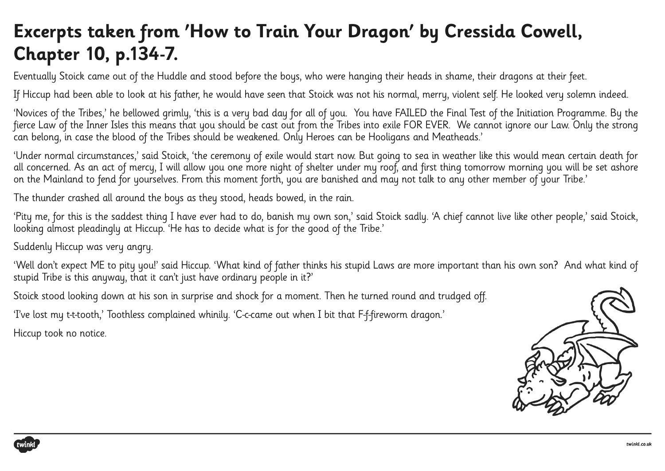## **Excerpts taken from 'How to Train Your Dragon' by Cressida Cowell, Chapter 10, p.134-7.**

Eventually Stoick came out of the Huddle and stood before the boys, who were hanging their heads in shame, their dragons at their feet.

If Hiccup had been able to look at his father, he would have seen that Stoick was not his normal, merry, violent self. He looked very solemn indeed.

'Novices of the Tribes,' he bellowed grimly, 'this is a very bad day for all of you. You have FAILED the Final Test of the Initiation Programme. By the fierce Law of the Inner Isles this means that you should be cast out from the Tribes into exile FOR EVER. We cannot ignore our Law. Only the strong can belong, in case the blood of the Tribes should be weakened. Only Heroes can be Hooligans and Meatheads.'

'Under normal circumstances,' said Stoick, 'the ceremony of exile would start now. But going to sea in weather like this would mean certain death for all concerned. As an act of mercy, I will allow you one more night of shelter under my roof, and first thing tomorrow morning you will be set ashore on the Mainland to fend for yourselves. From this moment forth, you are banished and may not talk to any other member of your Tribe.'

The thunder crashed all around the boys as they stood, heads bowed, in the rain.

'Pity me, for this is the saddest thing I have ever had to do, banish my own son,' said Stoick sadly. 'A chief cannot live like other people,' said Stoick, looking almost pleadingly at Hiccup. 'He has to decide what is for the good of the Tribe.'

Suddenly Hiccup was very angry.

'Well don't expect ME to pity you!' said Hiccup. 'What kind of father thinks his stupid Laws are more important than his own son? And what kind of stupid Tribe is this anyway, that it can't just have ordinary people in it?'

Stoick stood looking down at his son in surprise and shock for a moment. Then he turned round and trudged off.

'I've lost my t-t-tooth,' Toothless complained whinily. 'C-c-came out when I bit that F-f-fireworm dragon.'

Hiccup took no notice.



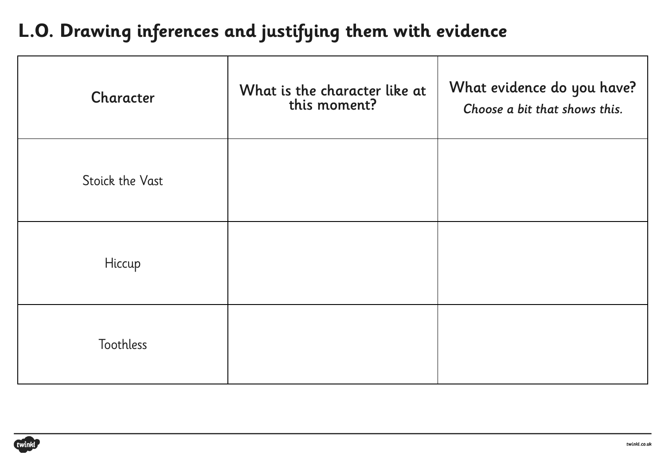## **L.O. Drawing inferences and justifying them with evidence**

| Character        | What is the character like at<br>this moment? | What evidence do you have?<br>Choose a bit that shows this. |
|------------------|-----------------------------------------------|-------------------------------------------------------------|
| Stoick the Vast  |                                               |                                                             |
| Hiccup           |                                               |                                                             |
| <b>Toothless</b> |                                               |                                                             |

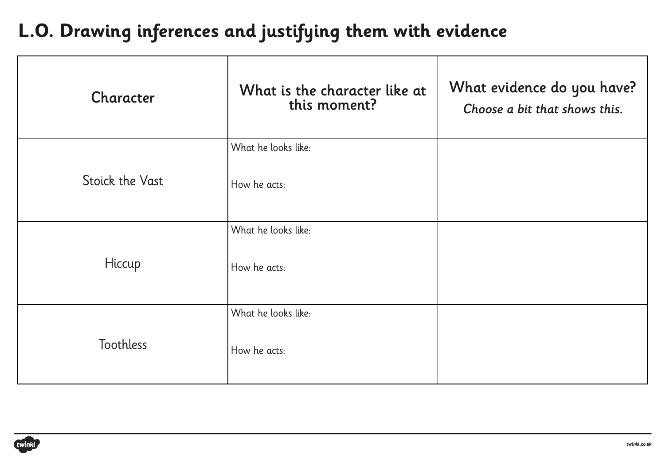## **L.O. Drawing inferences and justifying them with evidence**

| Character        | What is the character like at<br>this moment? | What evidence do you have?<br>Choose a bit that shows this. |
|------------------|-----------------------------------------------|-------------------------------------------------------------|
| Stoick the Vast  | What he looks like:<br>How he acts:           |                                                             |
| Hiccup           | What he looks like:<br>How he acts:           |                                                             |
| <b>Toothless</b> | What he looks like:<br>How he acts:           |                                                             |